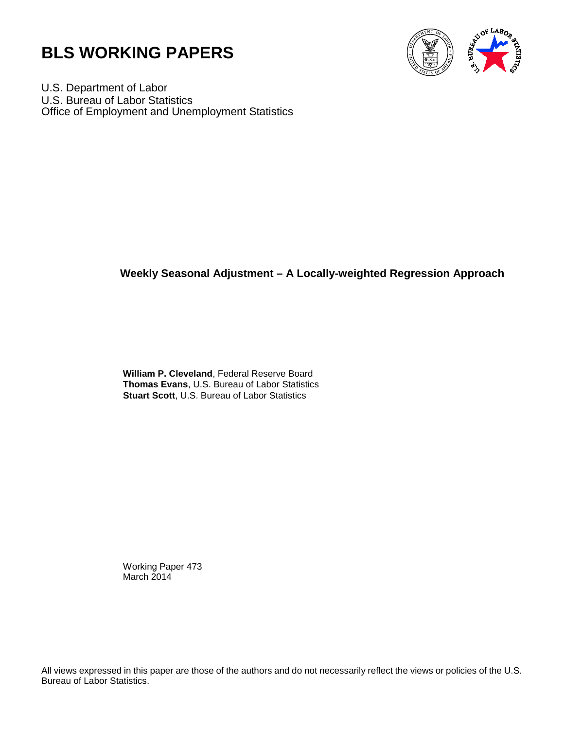



U.S. Department of Labor U.S. Bureau of Labor Statistics Office of Employment and Unemployment Statistics

# **Weekly Seasonal Adjustment – A Locally-weighted Regression Approach**

 **William P. Cleveland**, Federal Reserve Board **Thomas Evans**, U.S. Bureau of Labor Statistics **Stuart Scott**, U.S. Bureau of Labor Statistics

 Working Paper 473 March 2014

All views expressed in this paper are those of the authors and do not necessarily reflect the views or policies of the U.S. Bureau of Labor Statistics.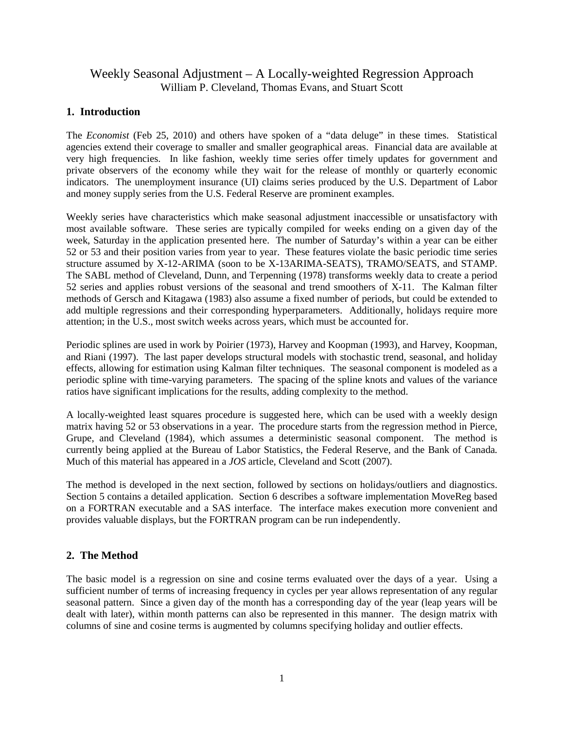# Weekly Seasonal Adjustment – A Locally-weighted Regression Approach William P. Cleveland, Thomas Evans, and Stuart Scott

# **1. Introduction**

The *Economist* (Feb 25, 2010) and others have spoken of a "data deluge" in these times. Statistical agencies extend their coverage to smaller and smaller geographical areas. Financial data are available at very high frequencies. In like fashion, weekly time series offer timely updates for government and private observers of the economy while they wait for the release of monthly or quarterly economic indicators. The unemployment insurance (UI) claims series produced by the U.S. Department of Labor and money supply series from the U.S. Federal Reserve are prominent examples.

Weekly series have characteristics which make seasonal adjustment inaccessible or unsatisfactory with most available software. These series are typically compiled for weeks ending on a given day of the week, Saturday in the application presented here. The number of Saturday's within a year can be either 52 or 53 and their position varies from year to year. These features violate the basic periodic time series structure assumed by X-12-ARIMA (soon to be X-13ARIMA-SEATS), TRAMO/SEATS, and STAMP. The SABL method of Cleveland, Dunn, and Terpenning (1978) transforms weekly data to create a period 52 series and applies robust versions of the seasonal and trend smoothers of X-11. The Kalman filter methods of Gersch and Kitagawa (1983) also assume a fixed number of periods, but could be extended to add multiple regressions and their corresponding hyperparameters. Additionally, holidays require more attention; in the U.S., most switch weeks across years, which must be accounted for.

Periodic splines are used in work by Poirier (1973), Harvey and Koopman (1993), and Harvey, Koopman, and Riani (1997). The last paper develops structural models with stochastic trend, seasonal, and holiday effects, allowing for estimation using Kalman filter techniques. The seasonal component is modeled as a periodic spline with time-varying parameters. The spacing of the spline knots and values of the variance ratios have significant implications for the results, adding complexity to the method.

A locally-weighted least squares procedure is suggested here, which can be used with a weekly design matrix having 52 or 53 observations in a year. The procedure starts from the regression method in Pierce, Grupe, and Cleveland (1984), which assumes a deterministic seasonal component. The method is currently being applied at the Bureau of Labor Statistics, the Federal Reserve, and the Bank of Canada. Much of this material has appeared in a *JOS* article, Cleveland and Scott (2007).

The method is developed in the next section, followed by sections on holidays/outliers and diagnostics. Section 5 contains a detailed application. Section 6 describes a software implementation MoveReg based on a FORTRAN executable and a SAS interface. The interface makes execution more convenient and provides valuable displays, but the FORTRAN program can be run independently.

# **2. The Method**

The basic model is a regression on sine and cosine terms evaluated over the days of a year. Using a sufficient number of terms of increasing frequency in cycles per year allows representation of any regular seasonal pattern. Since a given day of the month has a corresponding day of the year (leap years will be dealt with later), within month patterns can also be represented in this manner. The design matrix with columns of sine and cosine terms is augmented by columns specifying holiday and outlier effects.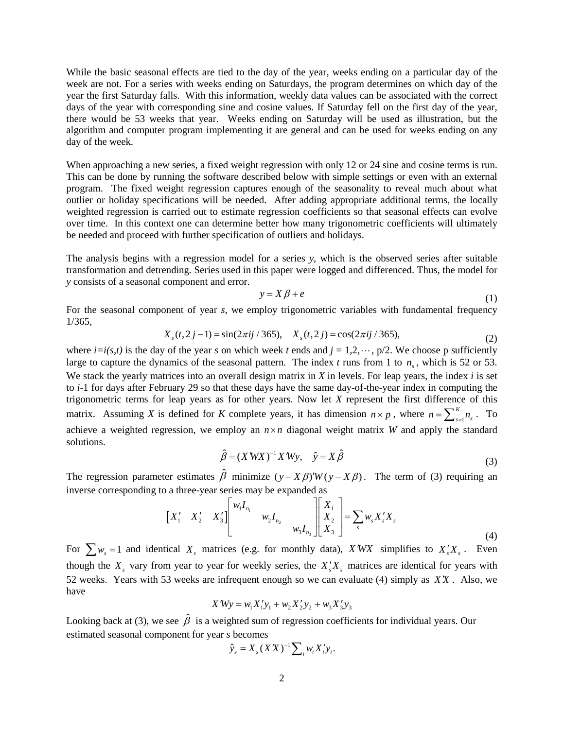While the basic seasonal effects are tied to the day of the year, weeks ending on a particular day of the week are not. For a series with weeks ending on Saturdays, the program determines on which day of the year the first Saturday falls. With this information, weekly data values can be associated with the correct days of the year with corresponding sine and cosine values. If Saturday fell on the first day of the year, there would be 53 weeks that year. Weeks ending on Saturday will be used as illustration, but the algorithm and computer program implementing it are general and can be used for weeks ending on any day of the week.

When approaching a new series, a fixed weight regression with only 12 or 24 sine and cosine terms is run. This can be done by running the software described below with simple settings or even with an external program. The fixed weight regression captures enough of the seasonality to reveal much about what outlier or holiday specifications will be needed. After adding appropriate additional terms, the locally weighted regression is carried out to estimate regression coefficients so that seasonal effects can evolve over time. In this context one can determine better how many trigonometric coefficients will ultimately be needed and proceed with further specification of outliers and holidays.

The analysis begins with a regression model for a series *y*, which is the observed series after suitable transformation and detrending. Series used in this paper were logged and differenced. Thus, the model for *y* consists of a seasonal component and error.

$$
y = X\beta + e \tag{1}
$$

For the seasonal component of year *s*, we employ trigonometric variables with fundamental frequency 1/365,

$$
X_s(t, 2j - 1) = \sin(2\pi i j / 365), \quad X_s(t, 2j) = \cos(2\pi i j / 365),\tag{2}
$$

where  $i=i(s,t)$  is the day of the year *s* on which week *t* ends and  $j=1,2,\dots, p/2$ . We choose p sufficiently large to capture the dynamics of the seasonal pattern. The index  $t$  runs from 1 to  $n<sub>s</sub>$ , which is 52 or 53. We stack the yearly matrices into an overall design matrix in *X* in levels. For leap years, the index *i* is set to *i*-1 for days after February 29 so that these days have the same day-of-the-year index in computing the trigonometric terms for leap years as for other years. Now let *X* represent the first difference of this matrix. Assuming *X* is defined for *K* complete years, it has dimension  $n \times p$ , where  $n = \sum_{s=1}^{K} n_s$ . To achieve a weighted regression, we employ an  $n \times n$  diagonal weight matrix *W* and apply the standard solutions.

$$
\hat{\beta} = (X'WX)^{-1}X'Wy, \quad \hat{y} = X\hat{\beta}
$$
\n(3)

The regression parameter estimates  $\hat{\beta}$  minimize  $(y - X\beta)'W(y - X\beta)$ . The term of (3) requiring an inverse corresponding to a three-year series may be expanded as

$$
\begin{bmatrix} X_1' & X_2' & X_3' \end{bmatrix} \begin{bmatrix} w_1 I_{n_1} & & \\ & w_2 I_{n_2} & \\ & & w_3 I_{n_3} \end{bmatrix} \begin{bmatrix} X_1 \\ X_2 \\ X_3 \end{bmatrix} = \sum_s w_s X_s' X_s
$$
 (4)

For  $\sum w_s = 1$  and identical  $X_s$  matrices (e.g. for monthly data), *XWX* simplifies to  $X_s'X_s$ . Even though the  $X_s$  vary from year to year for weekly series, the  $X_s'X_s$  matrices are identical for years with 52 weeks. Years with 53 weeks are infrequent enough so we can evaluate (4) simply as *X X*′ . Also, we have

$$
X'Wy = w_1X_1'y_1 + w_2X_2'y_2 + w_3X_3'y_3
$$

Looking back at (3), we see  $\hat{\beta}$  is a weighted sum of regression coefficients for individual years. Our estimated seasonal component for year *s* becomes

$$
\hat{y}_s = X_s (XX)^{-1} \sum_i w_i X_i' y_i.
$$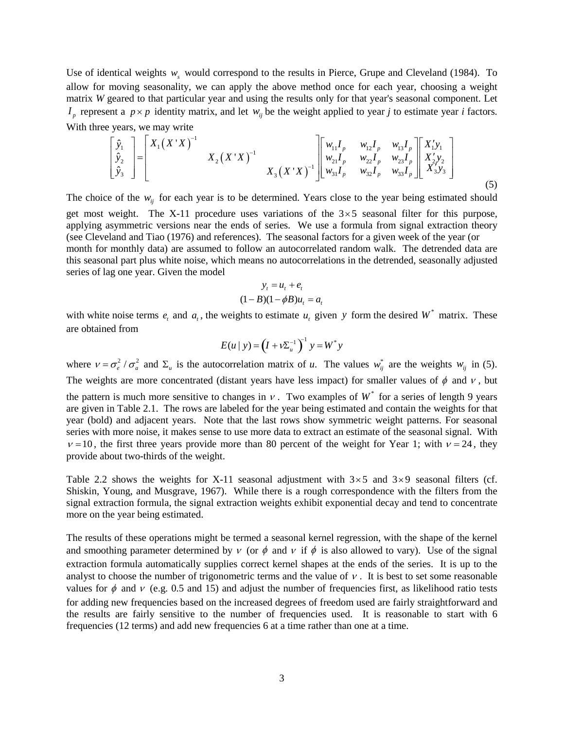Use of identical weights *w<sub>s</sub>* would correspond to the results in Pierce, Grupe and Cleveland (1984). To allow for moving seasonality, we can apply the above method once for each year, choosing a weight matrix *W* geared to that particular year and using the results only for that year's seasonal component. Let  $I_p$  represent a  $p \times p$  identity matrix, and let  $w_i$  be the weight applied to year *j* to estimate year *i* factors. With three years, we may write

$$
\begin{bmatrix} \hat{y}_1 \\ \hat{y}_2 \\ \hat{y}_3 \end{bmatrix} = \begin{bmatrix} X_1 (X'X)^{-1} & & & & \\ & X_2 (X'X)^{-1} & & & \\ & & X_3 (X'X)^{-1} \end{bmatrix} \begin{bmatrix} w_{11}I_p & w_{12}I_p & w_{13}I_p \\ w_{21}I_p & w_{22}I_p & w_{23}I_p \\ w_{31}I_p & w_{32}I_p & w_{33}I_p \end{bmatrix} \begin{bmatrix} X_1'y_1 \\ X_2'y_2 \\ X_3'y_3 \end{bmatrix} \tag{5}
$$

The choice of the  $w_{ij}$  for each year is to be determined. Years close to the year being estimated should get most weight. The X-11 procedure uses variations of the  $3\times 5$  seasonal filter for this purpose, applying asymmetric versions near the ends of series. We use a formula from signal extraction theory (see Cleveland and Tiao (1976) and references). The seasonal factors for a given week of the year (or month for monthly data) are assumed to follow an autocorrelated random walk. The detrended data are this seasonal part plus white noise, which means no autocorrelations in the detrended, seasonally adjusted series of lag one year. Given the model

$$
y_t = u_t + e_t
$$

$$
(1 - B)(1 - \phi B)u_t = a_t
$$

with white noise terms  $e_t$  and  $a_t$ , the weights to estimate  $u_t$  given y form the desired  $W^*$  matrix. These are obtained from

$$
E(u \mid y) = \left(I + \nu \Sigma_u^{-1}\right)^{-1} y = W^* y
$$

where  $v = \sigma_e^2 / \sigma_a^2$  and  $\Sigma_u$  is the autocorrelation matrix of *u*. The values  $w_{ii}^*$  are the weights  $w_{ii}$  in (5). The weights are more concentrated (distant years have less impact) for smaller values of  $\phi$  and  $v$ , but the pattern is much more sensitive to changes in  $v$ . Two examples of  $W^*$  for a series of length 9 years are given in Table 2.1. The rows are labeled for the year being estimated and contain the weights for that year (bold) and adjacent years. Note that the last rows show symmetric weight patterns. For seasonal series with more noise, it makes sense to use more data to extract an estimate of the seasonal signal. With  $v = 10$ , the first three years provide more than 80 percent of the weight for Year 1; with  $v = 24$ , they

Table 2.2 shows the weights for X-11 seasonal adjustment with  $3\times 5$  and  $3\times 9$  seasonal filters (cf. Shiskin, Young, and Musgrave, 1967). While there is a rough correspondence with the filters from the signal extraction formula, the signal extraction weights exhibit exponential decay and tend to concentrate

provide about two-thirds of the weight.

more on the year being estimated.

The results of these operations might be termed a seasonal kernel regression, with the shape of the kernel and smoothing parameter determined by  $\nu$  (or  $\phi$  and  $\nu$  if  $\phi$  is also allowed to vary). Use of the signal extraction formula automatically supplies correct kernel shapes at the ends of the series. It is up to the analyst to choose the number of trigonometric terms and the value of  $\nu$ . It is best to set some reasonable values for  $\phi$  and  $\nu$  (e.g. 0.5 and 15) and adjust the number of frequencies first, as likelihood ratio tests for adding new frequencies based on the increased degrees of freedom used are fairly straightforward and the results are fairly sensitive to the number of frequencies used. It is reasonable to start with 6 frequencies (12 terms) and add new frequencies 6 at a time rather than one at a time.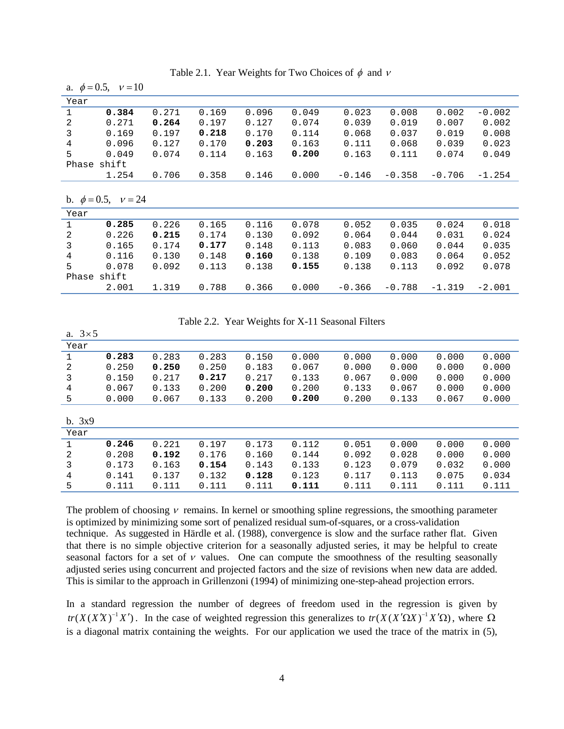|              | a. $\psi = 0.3$ , $v = 10$ |       |       |       |       |          |          |          |          |
|--------------|----------------------------|-------|-------|-------|-------|----------|----------|----------|----------|
| Year         |                            |       |       |       |       |          |          |          |          |
| $\mathbf{1}$ | 0.384                      | 0.271 | 0.169 | 0.096 | 0.049 | 0.023    | 0.008    | 0.002    | $-0.002$ |
| 2            | 0.271                      | 0.264 | 0.197 | 0.127 | 0.074 | 0.039    | 0.019    | 0.007    | 0.002    |
| 3            | 0.169                      | 0.197 | 0.218 | 0.170 | 0.114 | 0.068    | 0.037    | 0.019    | 0.008    |
| 4            | 0.096                      | 0.127 | 0.170 | 0.203 | 0.163 | 0.111    | 0.068    | 0.039    | 0.023    |
| 5            | 0.049                      | 0.074 | 0.114 | 0.163 | 0.200 | 0.163    | 0.111    | 0.074    | 0.049    |
|              | Phase shift                |       |       |       |       |          |          |          |          |
|              | 1.254                      | 0.706 | 0.358 | 0.146 | 0.000 | $-0.146$ | $-0.358$ | $-0.706$ | $-1.254$ |
|              |                            |       |       |       |       |          |          |          |          |
|              |                            |       |       |       |       |          |          |          |          |
|              | b. $\phi = 0.5$ , $v = 24$ |       |       |       |       |          |          |          |          |
| Year         |                            |       |       |       |       |          |          |          |          |
| $\mathbf{1}$ | 0.285                      | 0.226 | 0.165 | 0.116 | 0.078 | 0.052    | 0.035    | 0.024    | 0.018    |
| 2            | 0.226                      | 0.215 | 0.174 | 0.130 | 0.092 | 0.064    | 0.044    | 0.031    | 0.024    |
| 3            | 0.165                      | 0.174 | 0.177 | 0.148 | 0.113 | 0.083    | 0.060    | 0.044    | 0.035    |
| 4            | 0.116                      | 0.130 | 0.148 | 0.160 | 0.138 | 0.109    | 0.083    | 0.064    | 0.052    |
| 5            | 0.078                      | 0.092 | 0.113 | 0.138 | 0.155 | 0.138    | 0.113    | 0.092    | 0.078    |
|              | Phase shift                |       |       |       |       |          |          |          |          |

Table 2.1. Year Weights for Two Choices of  $\phi$  and  $v$ 

 $4.05 \div 10$ 

Table 2.2. Year Weights for X-11 Seasonal Filters

| a. $3\times 5$ |       |       |       |       |       |       |       |       |       |
|----------------|-------|-------|-------|-------|-------|-------|-------|-------|-------|
| Year           |       |       |       |       |       |       |       |       |       |
|                | 0.283 | 0.283 | 0.283 | 0.150 | 0.000 | 0.000 | 0.000 | 0.000 | 0.000 |
| 2              | 0.250 | 0.250 | 0.250 | 0.183 | 0.067 | 0.000 | 0.000 | 0.000 | 0.000 |
| 3              | 0.150 | 0.217 | 0.217 | 0.217 | 0.133 | 0.067 | 0.000 | 0.000 | 0.000 |
| 4              | 0.067 | 0.133 | 0.200 | 0.200 | 0.200 | 0.133 | 0.067 | 0.000 | 0.000 |
| 5              | 0.000 | 0.067 | 0.133 | 0.200 | 0.200 | 0.200 | 0.133 | 0.067 | 0.000 |
|                |       |       |       |       |       |       |       |       |       |
| b. 3x9         |       |       |       |       |       |       |       |       |       |
| Year           |       |       |       |       |       |       |       |       |       |
|                | 0.246 | 0.221 | 0.197 | 0.173 | 0.112 | 0.051 | 0.000 | 0.000 | 0.000 |
| 2              | 0.208 | 0.192 | 0.176 | 0.160 | 0.144 | 0.092 | 0.028 | 0.000 | 0.000 |
| 3              | 0.173 | 0.163 | 0.154 | 0.143 | 0.133 | 0.123 | 0.079 | 0.032 | 0.000 |
| 4              | 0.141 | 0.137 | 0.132 | 0.128 | 0.123 | 0.117 | 0.113 | 0.075 | 0.034 |
| 5              | 0.111 | 0.111 | 0.111 | 0.111 | 0.111 | 0.111 | 0.111 | 0.111 | 0.111 |

The problem of choosing  $\nu$  remains. In kernel or smoothing spline regressions, the smoothing parameter is optimized by minimizing some sort of penalized residual sum-of-squares, or a cross-validation technique. As suggested in Härdle et al. (1988), convergence is slow and the surface rather flat. Given that there is no simple objective criterion for a seasonally adjusted series, it may be helpful to create seasonal factors for a set of  $\nu$  values. One can compute the smoothness of the resulting seasonally adjusted series using concurrent and projected factors and the size of revisions when new data are added. This is similar to the approach in Grillenzoni (1994) of minimizing one-step-ahead projection errors.

In a standard regression the number of degrees of freedom used in the regression is given by  $tr(X(X^T)^{-1}X')$ . In the case of weighted regression this generalizes to  $tr(X(X^T\Omega X)^{-1}X'\Omega)$ , where  $\Omega$ is a diagonal matrix containing the weights. For our application we used the trace of the matrix in (5),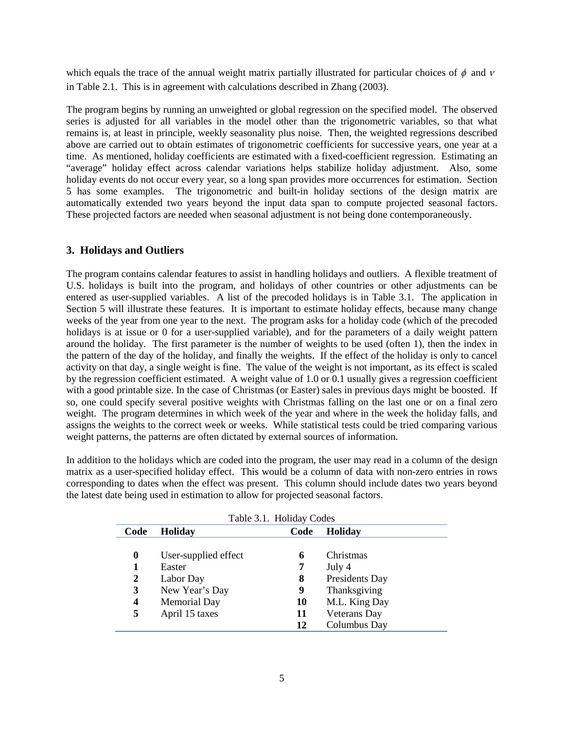which equals the trace of the annual weight matrix partially illustrated for particular choices of  $\phi$  and  $\nu$ in Table 2.1. This is in agreement with calculations described in Zhang (2003).

The program begins by running an unweighted or global regression on the specified model. The observed series is adjusted for all variables in the model other than the trigonometric variables, so that what remains is, at least in principle, weekly seasonality plus noise. Then, the weighted regressions described above are carried out to obtain estimates of trigonometric coefficients for successive years, one year at a time. As mentioned, holiday coefficients are estimated with a fixed-coefficient regression. Estimating an "average" holiday effect across calendar variations helps stabilize holiday adjustment. Also, some holiday events do not occur every year, so a long span provides more occurrences for estimation. Section 5 has some examples. The trigonometric and built-in holiday sections of the design matrix are automatically extended two years beyond the input data span to compute projected seasonal factors. These projected factors are needed when seasonal adjustment is not being done contemporaneously.

## **3. Holidays and Outliers**

The program contains calendar features to assist in handling holidays and outliers. A flexible treatment of U.S. holidays is built into the program, and holidays of other countries or other adjustments can be entered as user-supplied variables. A list of the precoded holidays is in Table 3.1. The application in Section 5 will illustrate these features. It is important to estimate holiday effects, because many change weeks of the year from one year to the next. The program asks for a holiday code (which of the precoded holidays is at issue or 0 for a user-supplied variable), and for the parameters of a daily weight pattern around the holiday. The first parameter is the number of weights to be used (often 1), then the index in the pattern of the day of the holiday, and finally the weights. If the effect of the holiday is only to cancel activity on that day, a single weight is fine. The value of the weight is not important, as its effect is scaled by the regression coefficient estimated. A weight value of 1.0 or 0.1 usually gives a regression coefficient with a good printable size. In the case of Christmas (or Easter) sales in previous days might be boosted. If so, one could specify several positive weights with Christmas falling on the last one or on a final zero weight. The program determines in which week of the year and where in the week the holiday falls, and assigns the weights to the correct week or weeks. While statistical tests could be tried comparing various weight patterns, the patterns are often dictated by external sources of information.

In addition to the holidays which are coded into the program, the user may read in a column of the design matrix as a user-specified holiday effect. This would be a column of data with non-zero entries in rows corresponding to dates when the effect was present. This column should include dates two years beyond the latest date being used in estimation to allow for projected seasonal factors.

| Table 3.1. Holiday Codes |                      |      |                     |  |  |  |  |  |
|--------------------------|----------------------|------|---------------------|--|--|--|--|--|
| Code                     | <b>Holiday</b>       | Code | <b>Holiday</b>      |  |  |  |  |  |
|                          |                      |      |                     |  |  |  |  |  |
| 0                        | User-supplied effect | 6    | Christmas           |  |  |  |  |  |
|                          | Easter               |      | July 4              |  |  |  |  |  |
| $\boldsymbol{2}$         | Labor Day            | 8    | Presidents Day      |  |  |  |  |  |
| 3                        | New Year's Day       | 9    | Thanksgiving        |  |  |  |  |  |
| 4                        | <b>Memorial Day</b>  | 10   | M.L. King Day       |  |  |  |  |  |
| 5                        | April 15 taxes       | 11   | <b>Veterans Day</b> |  |  |  |  |  |
|                          |                      | 12   | Columbus Day        |  |  |  |  |  |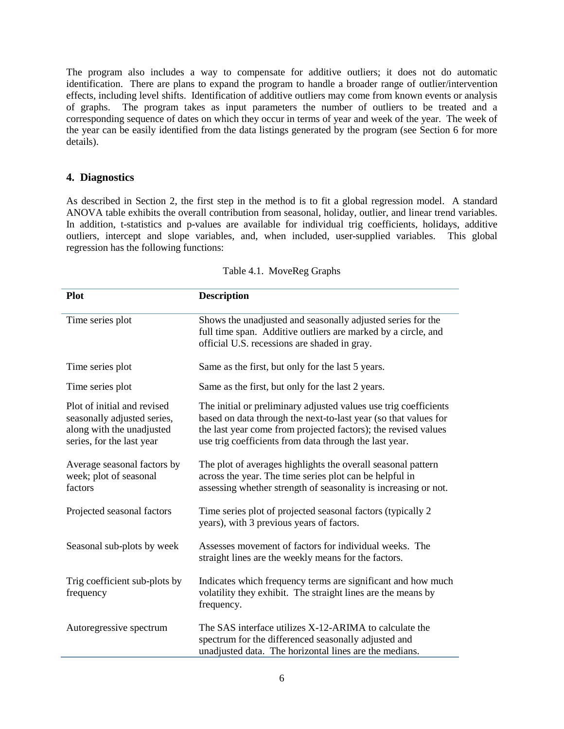The program also includes a way to compensate for additive outliers; it does not do automatic identification. There are plans to expand the program to handle a broader range of outlier/intervention effects, including level shifts. Identification of additive outliers may come from known events or analysis of graphs. The program takes as input parameters the number of outliers to be treated and a corresponding sequence of dates on which they occur in terms of year and week of the year. The week of the year can be easily identified from the data listings generated by the program (see Section 6 for more details).

# **4. Diagnostics**

As described in Section 2, the first step in the method is to fit a global regression model. A standard ANOVA table exhibits the overall contribution from seasonal, holiday, outlier, and linear trend variables. In addition, t-statistics and p-values are available for individual trig coefficients, holidays, additive outliers, intercept and slope variables, and, when included, user-supplied variables. This global regression has the following functions:

| <b>Plot</b>                                                                                                          | <b>Description</b>                                                                                                                                                                                                                                              |
|----------------------------------------------------------------------------------------------------------------------|-----------------------------------------------------------------------------------------------------------------------------------------------------------------------------------------------------------------------------------------------------------------|
| Time series plot                                                                                                     | Shows the unadjusted and seasonally adjusted series for the<br>full time span. Additive outliers are marked by a circle, and<br>official U.S. recessions are shaded in gray.                                                                                    |
| Time series plot                                                                                                     | Same as the first, but only for the last 5 years.                                                                                                                                                                                                               |
| Time series plot                                                                                                     | Same as the first, but only for the last 2 years.                                                                                                                                                                                                               |
| Plot of initial and revised<br>seasonally adjusted series,<br>along with the unadjusted<br>series, for the last year | The initial or preliminary adjusted values use trig coefficients<br>based on data through the next-to-last year (so that values for<br>the last year come from projected factors); the revised values<br>use trig coefficients from data through the last year. |
| Average seasonal factors by<br>week; plot of seasonal<br>factors                                                     | The plot of averages highlights the overall seasonal pattern<br>across the year. The time series plot can be helpful in<br>assessing whether strength of seasonality is increasing or not.                                                                      |
| Projected seasonal factors                                                                                           | Time series plot of projected seasonal factors (typically 2<br>years), with 3 previous years of factors.                                                                                                                                                        |
| Seasonal sub-plots by week                                                                                           | Assesses movement of factors for individual weeks. The<br>straight lines are the weekly means for the factors.                                                                                                                                                  |
| Trig coefficient sub-plots by<br>frequency                                                                           | Indicates which frequency terms are significant and how much<br>volatility they exhibit. The straight lines are the means by<br>frequency.                                                                                                                      |
| Autoregressive spectrum                                                                                              | The SAS interface utilizes X-12-ARIMA to calculate the<br>spectrum for the differenced seasonally adjusted and<br>unadjusted data. The horizontal lines are the medians.                                                                                        |

#### Table 4.1. MoveReg Graphs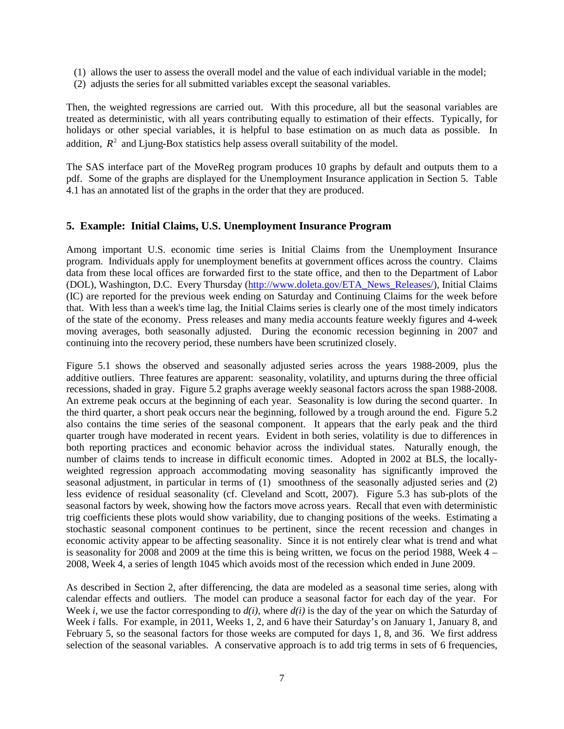- (1) allows the user to assess the overall model and the value of each individual variable in the model;
- (2) adjusts the series for all submitted variables except the seasonal variables.

Then, the weighted regressions are carried out. With this procedure, all but the seasonal variables are treated as deterministic, with all years contributing equally to estimation of their effects. Typically, for holidays or other special variables, it is helpful to base estimation on as much data as possible. In addition.  $R^2$  and Liung-Box statistics help assess overall suitability of the model.

The SAS interface part of the MoveReg program produces 10 graphs by default and outputs them to a pdf. Some of the graphs are displayed for the Unemployment Insurance application in Section 5. Table 4.1 has an annotated list of the graphs in the order that they are produced.

## **5. Example: Initial Claims, U.S. Unemployment Insurance Program**

Among important U.S. economic time series is Initial Claims from the Unemployment Insurance program. Individuals apply for unemployment benefits at government offices across the country. Claims data from these local offices are forwarded first to the state office, and then to the Department of Labor (DOL), Washington, D.C. Every Thursday [\(http://www.doleta.gov/ETA\\_News\\_Releases/\)](http://www.doleta.gov/ETA_News_Releases/), Initial Claims (IC) are reported for the previous week ending on Saturday and Continuing Claims for the week before that. With less than a week's time lag, the Initial Claims series is clearly one of the most timely indicators of the state of the economy. Press releases and many media accounts feature weekly figures and 4-week moving averages, both seasonally adjusted. During the economic recession beginning in 2007 and continuing into the recovery period, these numbers have been scrutinized closely.

Figure 5.1 shows the observed and seasonally adjusted series across the years 1988-2009, plus the additive outliers. Three features are apparent: seasonality, volatility, and upturns during the three official recessions, shaded in gray. Figure 5.2 graphs average weekly seasonal factors across the span 1988-2008. An extreme peak occurs at the beginning of each year. Seasonality is low during the second quarter. In the third quarter, a short peak occurs near the beginning, followed by a trough around the end. Figure 5.2 also contains the time series of the seasonal component. It appears that the early peak and the third quarter trough have moderated in recent years. Evident in both series, volatility is due to differences in both reporting practices and economic behavior across the individual states. Naturally enough, the number of claims tends to increase in difficult economic times. Adopted in 2002 at BLS, the locallyweighted regression approach accommodating moving seasonality has significantly improved the seasonal adjustment, in particular in terms of (1) smoothness of the seasonally adjusted series and (2) less evidence of residual seasonality (cf. Cleveland and Scott, 2007). Figure 5.3 has sub-plots of the seasonal factors by week, showing how the factors move across years. Recall that even with deterministic trig coefficients these plots would show variability, due to changing positions of the weeks. Estimating a stochastic seasonal component continues to be pertinent, since the recent recession and changes in economic activity appear to be affecting seasonality. Since it is not entirely clear what is trend and what is seasonality for 2008 and 2009 at the time this is being written, we focus on the period 1988, Week  $4 -$ 2008, Week 4, a series of length 1045 which avoids most of the recession which ended in June 2009.

As described in Section 2, after differencing, the data are modeled as a seasonal time series, along with calendar effects and outliers. The model can produce a seasonal factor for each day of the year. For Week *i*, we use the factor corresponding to *d(i)*, where *d(i)* is the day of the year on which the Saturday of Week *i* falls. For example, in 2011, Weeks 1, 2, and 6 have their Saturday's on January 1, January 8, and February 5, so the seasonal factors for those weeks are computed for days 1, 8, and 36. We first address selection of the seasonal variables. A conservative approach is to add trig terms in sets of 6 frequencies,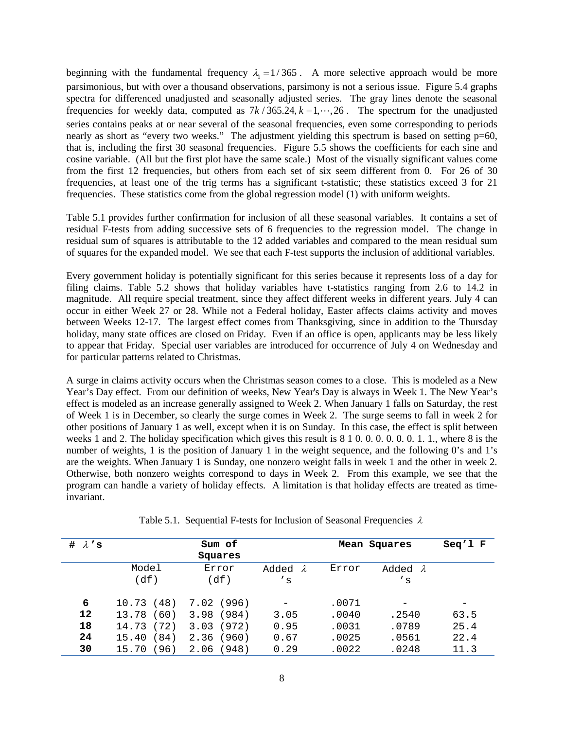beginning with the fundamental frequency  $\lambda_1 = 1/365$ . A more selective approach would be more parsimonious, but with over a thousand observations, parsimony is not a serious issue. Figure 5.4 graphs spectra for differenced unadjusted and seasonally adjusted series. The gray lines denote the seasonal frequencies for weekly data, computed as  $7k/365.24$ ,  $k = 1, \dots, 26$ . The spectrum for the unadjusted series contains peaks at or near several of the seasonal frequencies, even some corresponding to periods nearly as short as "every two weeks." The adjustment yielding this spectrum is based on setting p=60, that is, including the first 30 seasonal frequencies. Figure 5.5 shows the coefficients for each sine and cosine variable. (All but the first plot have the same scale.) Most of the visually significant values come from the first 12 frequencies, but others from each set of six seem different from 0. For 26 of 30 frequencies, at least one of the trig terms has a significant t-statistic; these statistics exceed 3 for 21 frequencies. These statistics come from the global regression model (1) with uniform weights.

Table 5.1 provides further confirmation for inclusion of all these seasonal variables. It contains a set of residual F-tests from adding successive sets of 6 frequencies to the regression model. The change in residual sum of squares is attributable to the 12 added variables and compared to the mean residual sum of squares for the expanded model. We see that each F-test supports the inclusion of additional variables.

Every government holiday is potentially significant for this series because it represents loss of a day for filing claims. Table 5.2 shows that holiday variables have t-statistics ranging from 2.6 to 14.2 in magnitude. All require special treatment, since they affect different weeks in different years. July 4 can occur in either Week 27 or 28. While not a Federal holiday, Easter affects claims activity and moves between Weeks 12-17. The largest effect comes from Thanksgiving, since in addition to the Thursday holiday, many state offices are closed on Friday. Even if an office is open, applicants may be less likely to appear that Friday. Special user variables are introduced for occurrence of July 4 on Wednesday and for particular patterns related to Christmas.

A surge in claims activity occurs when the Christmas season comes to a close. This is modeled as a New Year's Day effect. From our definition of weeks, New Year's Day is always in Week 1. The New Year's effect is modeled as an increase generally assigned to Week 2. When January 1 falls on Saturday, the rest of Week 1 is in December, so clearly the surge comes in Week 2. The surge seems to fall in week 2 for other positions of January 1 as well, except when it is on Sunday. In this case, the effect is split between weeks 1 and 2. The holiday specification which gives this result is 8 1 0. 0. 0. 0. 0. 0. 1. 1., where 8 is the number of weights, 1 is the position of January 1 in the weight sequence, and the following 0's and 1's are the weights. When January 1 is Sunday, one nonzero weight falls in week 1 and the other in week 2. Otherwise, both nonzero weights correspond to days in Week 2. From this example, we see that the program can handle a variety of holiday effects. A limitation is that holiday effects are treated as timeinvariant.

| # $\lambda$ 's |               | Sum of<br>Squares |                          |       | Mean Squares    | $Seq'1$ F |
|----------------|---------------|-------------------|--------------------------|-------|-----------------|-----------|
|                | Model         | Error             | Added<br>— 2.            | Error | Added $\lambda$ |           |
|                | (df)          | (df)              | $^{\prime}$ s            |       | $^{\prime}$ s   |           |
| 6              | (48)<br>10.73 | (996)<br>7.02     | $\overline{\phantom{0}}$ | .0071 |                 |           |
| 12             | 13.78<br>60)  | 3.98<br>(984)     | 3.05                     | .0040 | .2540           | 63.5      |
| 18             | (72)<br>14.73 | (972)<br>3.03     | 0.95                     | .0031 | .0789           | 25.4      |
| 24             | (84)<br>15.40 | (960)<br>2.36     | 0.67                     | .0025 | .0561           | 22.4      |
| 30             | 96)<br>15.70  | 2.06<br>(948)     | 0.29                     | .0022 | .0248           | 11.3      |

Table 5.1. Sequential F-tests for Inclusion of Seasonal Frequencies  $\lambda$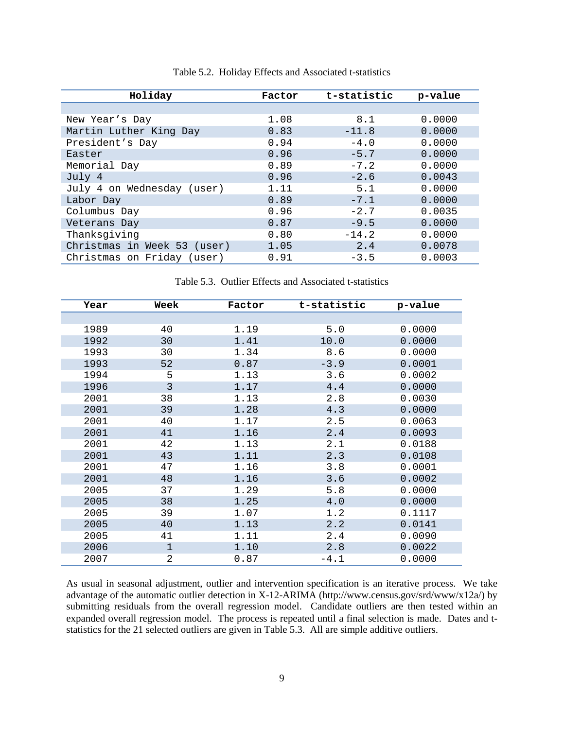| Holiday                     | Factor | t-statistic | p-value |
|-----------------------------|--------|-------------|---------|
|                             |        |             |         |
| New Year's Day              | 1.08   | 8.1         | 0.0000  |
| Martin Luther King Day      | 0.83   | $-11.8$     | 0.0000  |
| President's Day             | 0.94   | $-4.0$      | 0.0000  |
| Easter                      | 0.96   | $-5.7$      | 0.0000  |
| Memorial Day                | 0.89   | $-7.2$      | 0.0000  |
| July 4                      | 0.96   | $-2.6$      | 0.0043  |
| July 4 on Wednesday (user)  | 1.11   | 5.1         | 0.0000  |
| Labor Day                   | 0.89   | $-7.1$      | 0.0000  |
| Columbus Day                | 0.96   | $-2.7$      | 0.0035  |
| Veterans Day                | 0.87   | $-9.5$      | 0.0000  |
| Thanksgiving                | 0.80   | $-14.2$     | 0.0000  |
| Christmas in Week 53 (user) | 1.05   | 2.4         | 0.0078  |
| Christmas on Friday (user)  | 0.91   | $-3.5$      | 0.0003  |

Table 5.2. Holiday Effects and Associated t-statistics

Table 5.3. Outlier Effects and Associated t-statistics

| Year | Week           | Factor | t-statistic | p-value |
|------|----------------|--------|-------------|---------|
|      |                |        |             |         |
| 1989 | 40             | 1.19   | 5.0         | 0.0000  |
| 1992 | 30             | 1.41   | 10.0        | 0.0000  |
| 1993 | 30             | 1.34   | 8.6         | 0.0000  |
| 1993 | 52             | 0.87   | $-3.9$      | 0.0001  |
| 1994 | 5              | 1.13   | 3.6         | 0.0002  |
| 1996 | 3              | 1.17   | 4.4         | 0.0000  |
| 2001 | 38             | 1.13   | 2.8         | 0.0030  |
| 2001 | 39             | 1.28   | 4.3         | 0.0000  |
| 2001 | 40             | 1.17   | 2.5         | 0.0063  |
| 2001 | 41             | 1.16   | 2.4         | 0.0093  |
| 2001 | 42             | 1.13   | 2.1         | 0.0188  |
| 2001 | 43             | 1.11   | 2.3         | 0.0108  |
| 2001 | 47             | 1.16   | 3.8         | 0.0001  |
| 2001 | 48             | 1.16   | 3.6         | 0.0002  |
| 2005 | 37             | 1.29   | 5.8         | 0.0000  |
| 2005 | 38             | 1.25   | 4.0         | 0.0000  |
| 2005 | 39             | 1.07   | 1.2         | 0.1117  |
| 2005 | 40             | 1.13   | 2.2         | 0.0141  |
| 2005 | 41             | 1.11   | 2.4         | 0.0090  |
| 2006 | 1              | 1.10   | 2.8         | 0.0022  |
| 2007 | $\overline{2}$ | 0.87   | $-4.1$      | 0.0000  |

As usual in seasonal adjustment, outlier and intervention specification is an iterative process. We take advantage of the automatic outlier detection in X-12-ARIMA (http://www.census.gov/srd/www/x12a/) by submitting residuals from the overall regression model. Candidate outliers are then tested within an expanded overall regression model. The process is repeated until a final selection is made. Dates and tstatistics for the 21 selected outliers are given in Table 5.3. All are simple additive outliers.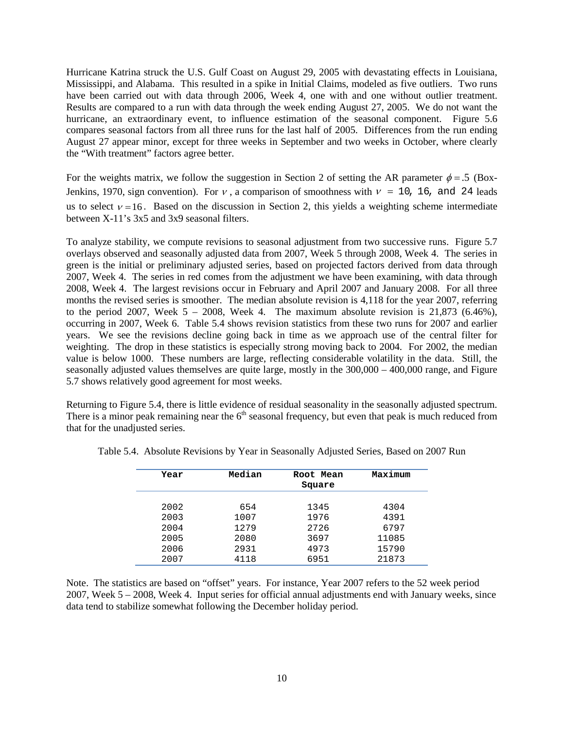Hurricane Katrina struck the U.S. Gulf Coast on August 29, 2005 with devastating effects in Louisiana, Mississippi, and Alabama. This resulted in a spike in Initial Claims, modeled as five outliers. Two runs have been carried out with data through 2006, Week 4, one with and one without outlier treatment. Results are compared to a run with data through the week ending August 27, 2005. We do not want the hurricane, an extraordinary event, to influence estimation of the seasonal component. Figure 5.6 compares seasonal factors from all three runs for the last half of 2005. Differences from the run ending August 27 appear minor, except for three weeks in September and two weeks in October, where clearly the "With treatment" factors agree better.

For the weights matrix, we follow the suggestion in Section 2 of setting the AR parameter  $\phi = .5$  (Box-Jenkins, 1970, sign convention). For  $\nu$ , a comparison of smoothness with  $\nu = 10$ , 16, and 24 leads us to select  $v = 16$ . Based on the discussion in Section 2, this yields a weighting scheme intermediate between X-11's 3x5 and 3x9 seasonal filters.

To analyze stability, we compute revisions to seasonal adjustment from two successive runs. Figure 5.7 overlays observed and seasonally adjusted data from 2007, Week 5 through 2008, Week 4. The series in green is the initial or preliminary adjusted series, based on projected factors derived from data through 2007, Week 4. The series in red comes from the adjustment we have been examining, with data through 2008, Week 4. The largest revisions occur in February and April 2007 and January 2008. For all three months the revised series is smoother. The median absolute revision is 4,118 for the year 2007, referring to the period 2007, Week  $5 - 2008$ , Week 4. The maximum absolute revision is 21,873 (6.46%), occurring in 2007, Week 6. Table 5.4 shows revision statistics from these two runs for 2007 and earlier years. We see the revisions decline going back in time as we approach use of the central filter for weighting. The drop in these statistics is especially strong moving back to 2004. For 2002, the median value is below 1000. These numbers are large, reflecting considerable volatility in the data. Still, the seasonally adjusted values themselves are quite large, mostly in the 300,000 – 400,000 range, and Figure 5.7 shows relatively good agreement for most weeks.

Returning to Figure 5.4, there is little evidence of residual seasonality in the seasonally adjusted spectrum. There is a minor peak remaining near the  $6<sup>th</sup>$  seasonal frequency, but even that peak is much reduced from that for the unadjusted series.

| Year | Median | Root Mean<br>Square | Maximum |
|------|--------|---------------------|---------|
|      |        |                     |         |
| 2002 | 654    | 1345                | 4304    |
| 2003 | 1007   | 1976                | 4391    |
| 2004 | 1279   | 2726                | 6797    |
| 2005 | 2080   | 3697                | 11085   |
| 2006 | 2931   | 4973                | 15790   |
| 2007 | 4118   | 6951                | 21873   |

Table 5.4. Absolute Revisions by Year in Seasonally Adjusted Series, Based on 2007 Run

Note. The statistics are based on "offset" years. For instance, Year 2007 refers to the 52 week period 2007, Week 5 – 2008, Week 4. Input series for official annual adjustments end with January weeks, since data tend to stabilize somewhat following the December holiday period.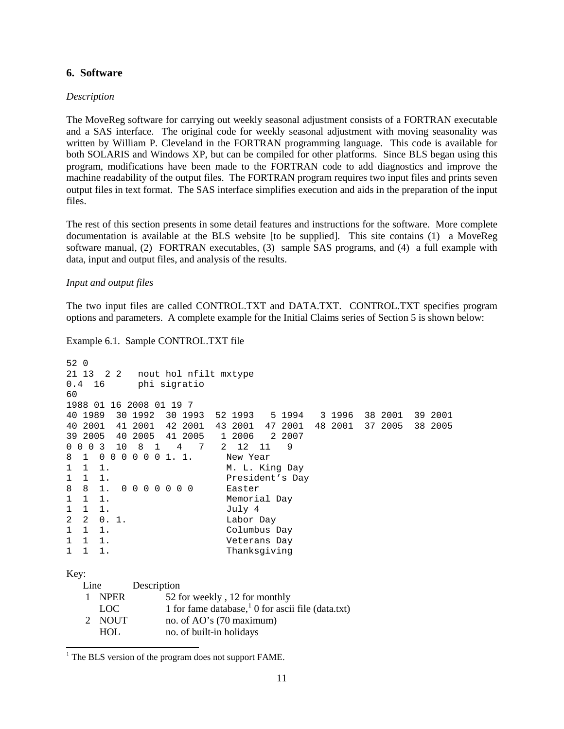### **6. Software**

#### *Description*

The MoveReg software for carrying out weekly seasonal adjustment consists of a FORTRAN executable and a SAS interface. The original code for weekly seasonal adjustment with moving seasonality was written by William P. Cleveland in the FORTRAN programming language. This code is available for both SOLARIS and Windows XP, but can be compiled for other platforms. Since BLS began using this program, modifications have been made to the FORTRAN code to add diagnostics and improve the machine readability of the output files. The FORTRAN program requires two input files and prints seven output files in text format. The SAS interface simplifies execution and aids in the preparation of the input files.

The rest of this section presents in some detail features and instructions for the software. More complete documentation is available at the BLS website [to be supplied]. This site contains (1) a MoveReg software manual, (2) FORTRAN executables, (3) sample SAS programs, and (4) a full example with data, input and output files, and analysis of the results.

#### *Input and output files*

The two input files are called CONTROL.TXT and DATA.TXT. CONTROL.TXT specifies program options and parameters. A complete example for the Initial Claims series of Section 5 is shown below:

#### Example 6.1. Sample CONTROL.TXT file

```
52 0
21 13 2 2 nout hol nfilt mxtype<br>0.4 16 bhi sigratio
            phi sigratio
60
1988 01 16 2008 01 19 7
40 1989 30 1992 30 1993 52 1993 5 1994 3 1996 38 2001 39 2001
40 2001 41 2001 42 2001 43 2001 47 2001 48 2001 37 2005 38 2005
        39 2005 40 2005 41 2005 1 2006 2 2007
0 0 0 0 3 10 8 1 4 7 2 12 11<br>8 1 0 0 0 0 0 0 1.1. New Year
8 1 0 0 0 0 0 0 1. 1.<br>1 1 1.
     1. M. L. King Day
1 1 1. President's Day
8 8 1. 0 0 0 0 0 0 0<br>1 1 1.
1 1 1. Memorial Day<br>1 1 1. July 4
1 1 1.<br>2 2 0.1. Labor
2 2 0.1. Labor Day<br>1 1 1. Columbus
1 1 1. Columbus Day<br>1 1 1 1 Veterans Day
1 1 1. Veterans Day
                            Thanksgiving
Key:
  Line Description
    1 NPER 52 for weekly , 12 for monthly 
     1 for fame database, \frac{1}{1} 0 for ascii file (data.txt)
    2 NOUT no. of AO's (70 maximum) 
      HOL no. of built-in holidays
```
 $\ddot{\phantom{a}}$ 

<span id="page-11-0"></span><sup>&</sup>lt;sup>1</sup> The BLS version of the program does not support FAME.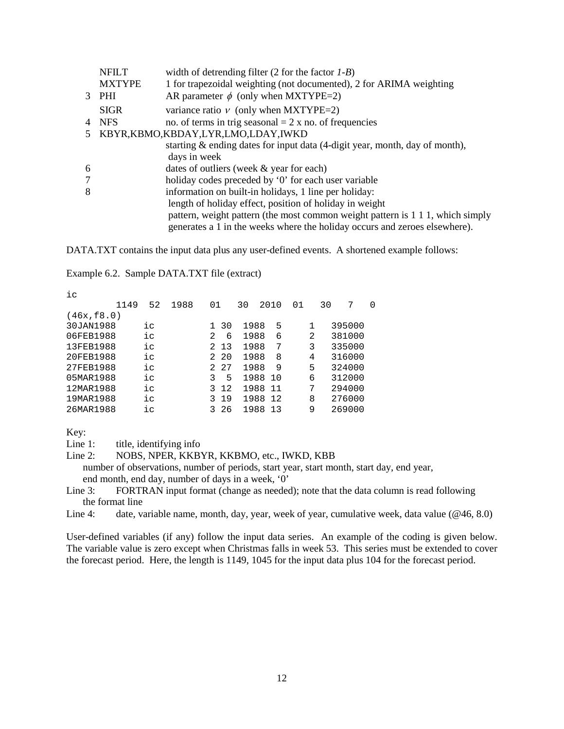|   | <b>NFILT</b>  | width of detrending filter $(2$ for the factor $1-B$ )                         |
|---|---------------|--------------------------------------------------------------------------------|
|   | <b>MXTYPE</b> | 1 for trapezoidal weighting (not documented), 2 for ARIMA weighting            |
|   | $3$ PHI       | AR parameter $\phi$ (only when MXTYPE=2)                                       |
|   | <b>SIGR</b>   | variance ratio $\nu$ (only when MXTYPE=2)                                      |
|   | 4 NFS         | no. of terms in trig seasonal $= 2 x$ no. of frequencies                       |
|   |               | KBYR,KBMO,KBDAY,LYR,LMO,LDAY,IWKD                                              |
|   |               | starting & ending dates for input data (4-digit year, month, day of month),    |
|   |               | days in week                                                                   |
| 6 |               | dates of outliers (week & year for each)                                       |
| 7 |               | holiday codes preceded by '0' for each user variable                           |
| 8 |               | information on built-in holidays, 1 line per holiday:                          |
|   |               | length of holiday effect, position of holiday in weight                        |
|   |               | pattern, weight pattern (the most common weight pattern is 1 1 1, which simply |
|   |               | generates a 1 in the weeks where the holiday occurs and zeroes elsewhere).     |
|   |               |                                                                                |

DATA.TXT contains the input data plus any user-defined events. A shortened example follows:

### Example 6.2. Sample DATA.TXT file (extract)

| ic          |      |    |      |                |      |      |      |    |   |    |        |   |
|-------------|------|----|------|----------------|------|------|------|----|---|----|--------|---|
|             | 1149 | 52 | 1988 | 01             |      | 30   | 2010 | 01 |   | 30 | 7      | 0 |
| (46x, £8.0) |      |    |      |                |      |      |      |    |   |    |        |   |
| 30JAN1988   |      | iс |      |                | 1 30 | 1988 | 5    |    | 1 |    | 395000 |   |
| 06FEB1988   |      | iс |      | $\mathfrak{D}$ | 6    | 1988 | 6    |    | 2 |    | 381000 |   |
| 13FEB1988   |      | iс |      |                | 2 13 | 1988 | 7    |    | 3 |    | 335000 |   |
| 20FEB1988   |      | iс |      |                | 2 20 | 1988 | 8    |    | 4 |    | 316000 |   |
| 27FEB1988   |      | iс |      |                | 2 27 | 1988 | 9    |    | 5 |    | 324000 |   |
| 05MAR1988   |      | iс |      | 3              | 5    | 1988 | 10   |    | 6 |    | 312000 |   |
| 12MAR1988   |      | iс |      | 3              | 12   | 1988 | 11   |    | 7 |    | 294000 |   |
| 19MAR1988   |      | iс |      | 3              | 19   | 1988 | 12   |    | 8 |    | 276000 |   |
| 26MAR1988   |      | ic |      | २              | -26  | 1988 | 13   |    | 9 |    | 269000 |   |
|             |      |    |      |                |      |      |      |    |   |    |        |   |

Key:

Line 1: title, identifying info

# Line 2: NOBS, NPER, KKBYR, KKBMO, etc., IWKD, KBB

 number of observations, number of periods, start year, start month, start day, end year, end month, end day, number of days in a week, '0'

Line 3: FORTRAN input format (change as needed); note that the data column is read following the format line

Line 4: date, variable name, month, day, year, week of year, cumulative week, data value (@46, 8.0)

User-defined variables (if any) follow the input data series. An example of the coding is given below. The variable value is zero except when Christmas falls in week 53. This series must be extended to cover the forecast period. Here, the length is 1149, 1045 for the input data plus 104 for the forecast period.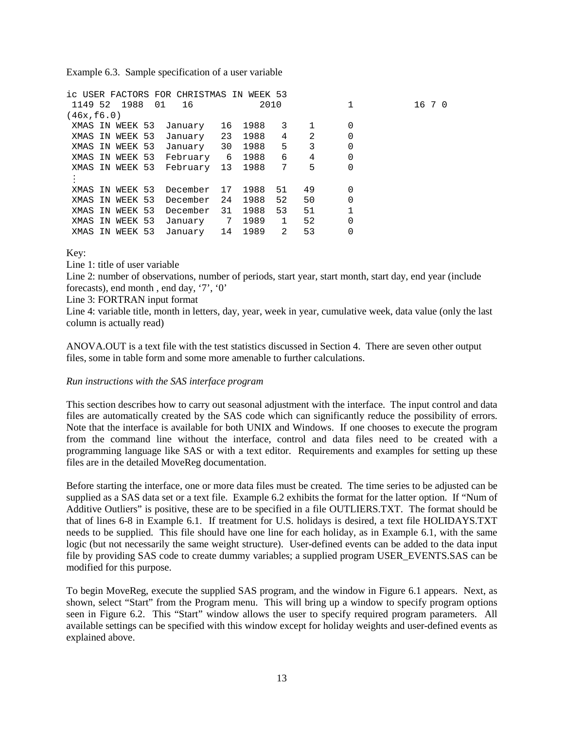Example 6.3. Sample specification of a user variable

|             |                 | ic USER FACTORS FOR CHRISTMAS IN WEEK 53 |    |      |              |                |          |        |
|-------------|-----------------|------------------------------------------|----|------|--------------|----------------|----------|--------|
|             | 1149 52 1988    | 01<br>16                                 |    |      | 2010         |                |          | 16 7 0 |
| (46x, 16.0) |                 |                                          |    |      |              |                |          |        |
|             | XMAS IN WEEK 53 | January                                  | 16 | 1988 | 3            | 1              | 0        |        |
|             | XMAS IN WEEK 53 | January                                  | 23 | 1988 | 4            | $\overline{2}$ | $\Omega$ |        |
|             | XMAS IN WEEK 53 | January                                  | 30 | 1988 | 5            | 3              | $\Omega$ |        |
|             | XMAS IN WEEK 53 | February                                 | 6  | 1988 | 6            | 4              | 0        |        |
|             | XMAS IN WEEK 53 | February 13                              |    | 1988 | 7            | 5              | $\Omega$ |        |
|             |                 |                                          |    |      |              |                |          |        |
|             | XMAS IN WEEK 53 | December                                 | 17 | 1988 | 51           | 49             | 0        |        |
|             | XMAS IN WEEK 53 | December                                 | 24 | 1988 | 52           | 50             | $\Omega$ |        |
|             | XMAS IN WEEK 53 | December                                 | 31 | 1988 | 53           | 51             | 1        |        |
|             | XMAS IN WEEK 53 | January                                  | 7  | 1989 | $\mathbf{1}$ | 52             | $\Omega$ |        |
| XMAS IN     | WEEK 53         | January                                  | 14 | 1989 | 2            | 53             |          |        |

Key:

Line 1: title of user variable

Line 2: number of observations, number of periods, start year, start month, start day, end year (include forecasts), end month , end day, '7', '0'

Line 3: FORTRAN input format

Line 4: variable title, month in letters, day, year, week in year, cumulative week, data value (only the last column is actually read)

ANOVA.OUT is a text file with the test statistics discussed in Section 4. There are seven other output files, some in table form and some more amenable to further calculations.

## *Run instructions with the SAS interface program*

This section describes how to carry out seasonal adjustment with the interface. The input control and data files are automatically created by the SAS code which can significantly reduce the possibility of errors. Note that the interface is available for both UNIX and Windows. If one chooses to execute the program from the command line without the interface, control and data files need to be created with a programming language like SAS or with a text editor. Requirements and examples for setting up these files are in the detailed MoveReg documentation.

Before starting the interface, one or more data files must be created. The time series to be adjusted can be supplied as a SAS data set or a text file. Example 6.2 exhibits the format for the latter option. If "Num of Additive Outliers" is positive, these are to be specified in a file OUTLIERS.TXT. The format should be that of lines 6-8 in Example 6.1. If treatment for U.S. holidays is desired, a text file HOLIDAYS.TXT needs to be supplied. This file should have one line for each holiday, as in Example 6.1, with the same logic (but not necessarily the same weight structure). User-defined events can be added to the data input file by providing SAS code to create dummy variables; a supplied program USER\_EVENTS.SAS can be modified for this purpose.

To begin MoveReg, execute the supplied SAS program, and the window in Figure 6.1 appears. Next, as shown, select "Start" from the Program menu. This will bring up a window to specify program options seen in Figure 6.2. This "Start" window allows the user to specify required program parameters. All available settings can be specified with this window except for holiday weights and user-defined events as explained above.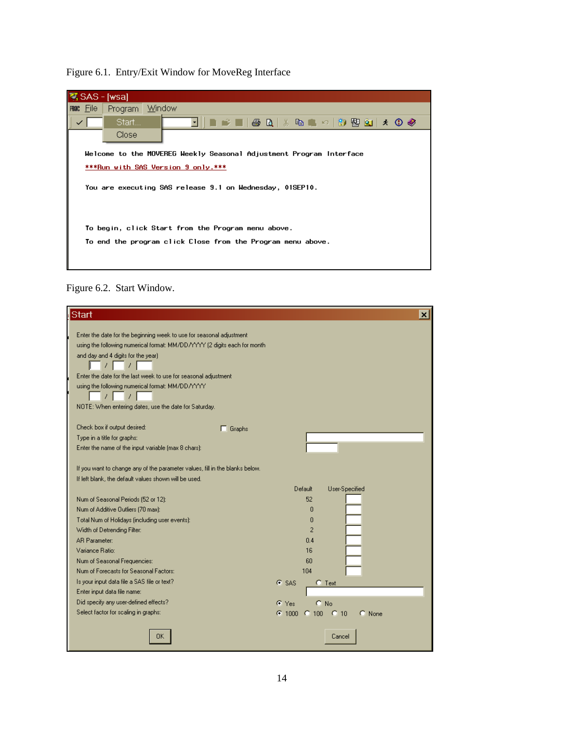| SAS - [wsa] |                                                                     |
|-------------|---------------------------------------------------------------------|
| mac File    | Program Window                                                      |
|             | ▎▊▗▘█▎▎▟▏▐▋▎▓▕▝▆▗█▏▞▏░▊▐▜▋▏▞▏▝░▎▅▛<br>Start<br>▾▮▮                  |
|             | Close                                                               |
|             | Welcome to the MOVEREG Weekly Seasonal Adjustment Program Interface |
|             | ***Run with SAS Version 9 only.***                                  |
|             | You are executing SAS release 9.1 on Wednesday, 01SEP10.            |
|             |                                                                     |
|             | To begin, click Start from the Program menu above.                  |
|             |                                                                     |
|             | To end the program click Close from the Program menu above.         |
|             |                                                                     |
|             |                                                                     |
|             |                                                                     |

# Figure 6.1. Entry/Exit Window for MoveReg Interface

Figure 6.2. Start Window.

| <b>Start</b>                                                                                                                          | ×l                                       |
|---------------------------------------------------------------------------------------------------------------------------------------|------------------------------------------|
|                                                                                                                                       |                                          |
| Enter the date for the beginning week to use for seasonal adjustment                                                                  |                                          |
| using the following numerical format: MM/DD/YYYY (2 digits each for month                                                             |                                          |
| and day and 4 digits for the year)                                                                                                    |                                          |
|                                                                                                                                       |                                          |
| Enter the date for the last week to use for seasonal adjustment                                                                       |                                          |
| using the following numerical format: MM/DD/YYYY                                                                                      |                                          |
|                                                                                                                                       |                                          |
| NOTE: When entering dates, use the date for Saturday.                                                                                 |                                          |
|                                                                                                                                       |                                          |
| Check box if output desired:<br>Graphs                                                                                                |                                          |
| Type in a title for graphs:                                                                                                           |                                          |
| Enter the name of the input variable (max 8 chars):                                                                                   |                                          |
|                                                                                                                                       |                                          |
| If you want to change any of the parameter values, fill in the blanks below.<br>If left blank, the default values shown will be used. |                                          |
|                                                                                                                                       | Default                                  |
|                                                                                                                                       | User-Specified                           |
| Num of Seasonal Periods (52 or 12):                                                                                                   | 52                                       |
| Num of Additive Outliers (70 max):                                                                                                    | ۵                                        |
| Total Num of Holidays (including user events):                                                                                        | n                                        |
| Width of Detrending Filter:                                                                                                           | $\overline{2}$                           |
| <b>AR Parameter:</b>                                                                                                                  | 0.4                                      |
| Variance Ratio:                                                                                                                       | 16                                       |
| Num of Seasonal Frequencies:                                                                                                          | 60                                       |
| Num of Forecasts for Seasonal Factors:                                                                                                | 104                                      |
| Is your input data file a SAS file or text?                                                                                           | G SAS<br>$C$ Text                        |
| Enter input data file name:                                                                                                           |                                          |
| Did specify any user-defined effects?                                                                                                 | $C$ No<br>$C$ Yes                        |
| Select factor for scaling in graphs:                                                                                                  | $C = 1000$<br>$C$ 100<br>$-0$ 10<br>None |
|                                                                                                                                       |                                          |
| OΚ                                                                                                                                    | Cance                                    |
|                                                                                                                                       |                                          |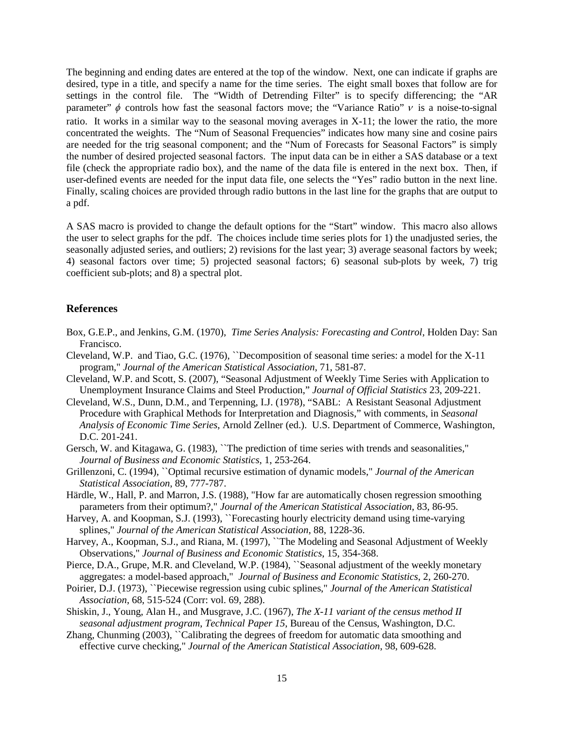The beginning and ending dates are entered at the top of the window. Next, one can indicate if graphs are desired, type in a title, and specify a name for the time series. The eight small boxes that follow are for settings in the control file. The "Width of Detrending Filter" is to specify differencing; the "AR parameter"  $\phi$  controls how fast the seasonal factors move; the "Variance Ratio"  $\nu$  is a noise-to-signal ratio. It works in a similar way to the seasonal moving averages in X-11; the lower the ratio, the more concentrated the weights. The "Num of Seasonal Frequencies" indicates how many sine and cosine pairs are needed for the trig seasonal component; and the "Num of Forecasts for Seasonal Factors" is simply the number of desired projected seasonal factors. The input data can be in either a SAS database or a text file (check the appropriate radio box), and the name of the data file is entered in the next box. Then, if user-defined events are needed for the input data file, one selects the "Yes" radio button in the next line. Finally, scaling choices are provided through radio buttons in the last line for the graphs that are output to a pdf.

A SAS macro is provided to change the default options for the "Start" window. This macro also allows the user to select graphs for the pdf. The choices include time series plots for 1) the unadjusted series, the seasonally adjusted series, and outliers; 2) revisions for the last year; 3) average seasonal factors by week; 4) seasonal factors over time; 5) projected seasonal factors; 6) seasonal sub-plots by week, 7) trig coefficient sub-plots; and 8) a spectral plot.

### **References**

- Box, G.E.P., and Jenkins, G.M. (1970), *Time Series Analysis: Forecasting and Control*, Holden Day: San Francisco.
- Cleveland, W.P. and Tiao, G.C. (1976), ``Decomposition of seasonal time series: a model for the X-11 program," *Journal of the American Statistical Association*, 71, 581-87.
- Cleveland, W.P. and Scott, S. (2007), "Seasonal Adjustment of Weekly Time Series with Application to Unemployment Insurance Claims and Steel Production," *Journal of Official Statistics* 23, 209-221.
- Cleveland, W.S., Dunn, D.M., and Terpenning, I.J. (1978), "SABL: A Resistant Seasonal Adjustment Procedure with Graphical Methods for Interpretation and Diagnosis," with comments, in *Seasonal Analysis of Economic Time Series*, Arnold Zellner (ed.). U.S. Department of Commerce, Washington, D.C. 201-241.
- Gersch, W. and Kitagawa, G. (1983), "The prediction of time series with trends and seasonalities," *Journal of Business and Economic Statistics*, 1, 253-264.
- Grillenzoni, C. (1994), ``Optimal recursive estimation of dynamic models," *Journal of the American Statistical Association*, 89, 777-787.
- Härdle, W., Hall, P. and Marron, J.S. (1988), "How far are automatically chosen regression smoothing parameters from their optimum?," *Journal of the American Statistical Association*, 83, 86-95.
- Harvey, A. and Koopman, S.J. (1993), "Forecasting hourly electricity demand using time-varying splines," *Journal of the American Statistical Association*, 88, 1228-36.
- Harvey, A., Koopman, S.J., and Riana, M. (1997), "The Modeling and Seasonal Adjustment of Weekly Observations," *Journal of Business and Economic Statistics*, 15, 354-368.
- Pierce, D.A., Grupe, M.R. and Cleveland, W.P. (1984), "Seasonal adjustment of the weekly monetary aggregates: a model-based approach," *Journal of Business and Economic Statistics*, 2, 260-270.
- Poirier, D.J. (1973), ``Piecewise regression using cubic splines," *Journal of the American Statistical Association*, 68, 515-524 (Corr: vol. 69, 288).
- Shiskin, J., Young, Alan H., and Musgrave, J.C. (1967), *The X-11 variant of the census method II seasonal adjustment program*, *Technical Paper 15*, Bureau of the Census, Washington, D.C.
- Zhang, Chunming (2003), "Calibrating the degrees of freedom for automatic data smoothing and effective curve checking," *Journal of the American Statistical Association*, 98, 609-628.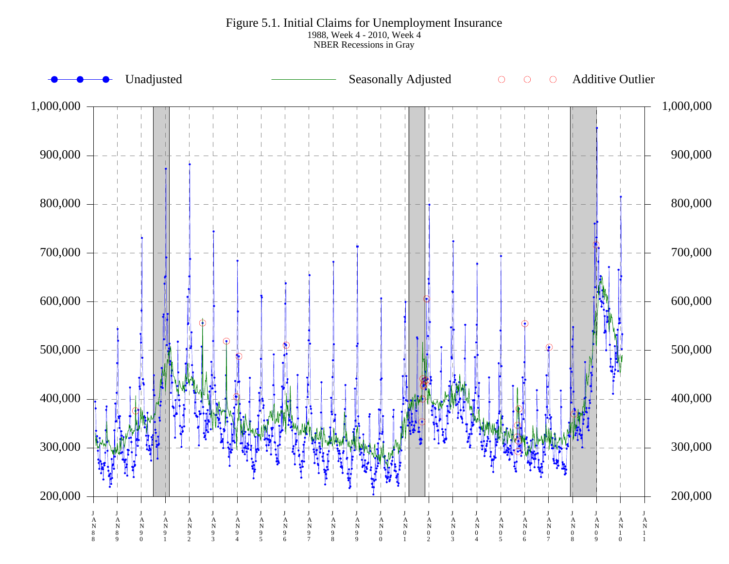Figure 5.1. Initial Claims for Unemployment Insurance 1988, Week 4 - 2010, Week 4 NBER Recessions in Gray

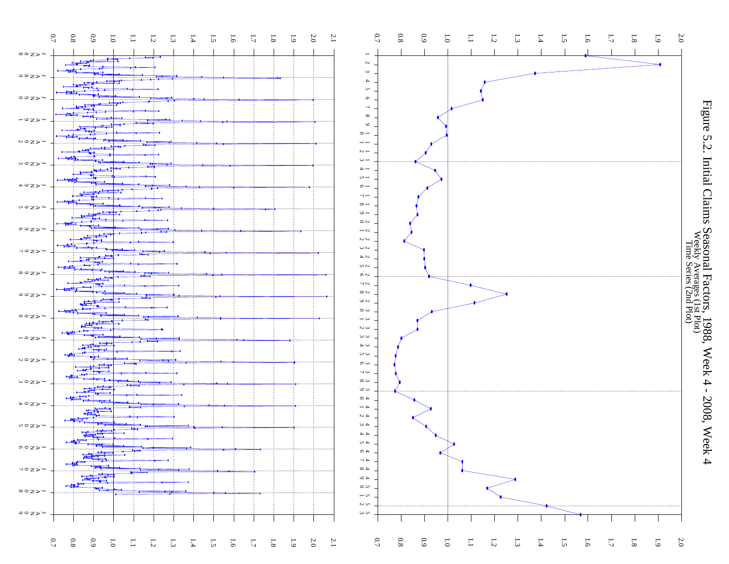



Figure 5.2. Initial Claims Seasonal Factors, 1988, Week 4 - 2008, Week 4<br>Week And Claims Seasonal Factors, 1988, Week 4 - 2008, Week 4 Figure 5.2. Initial Claims Seasonal Factors, 1988, Week 4 - 2008, Week 4<br>Figure 5.2. Initial Claims Seasonal Factors, 1988, Week 4 - 2008, Week 4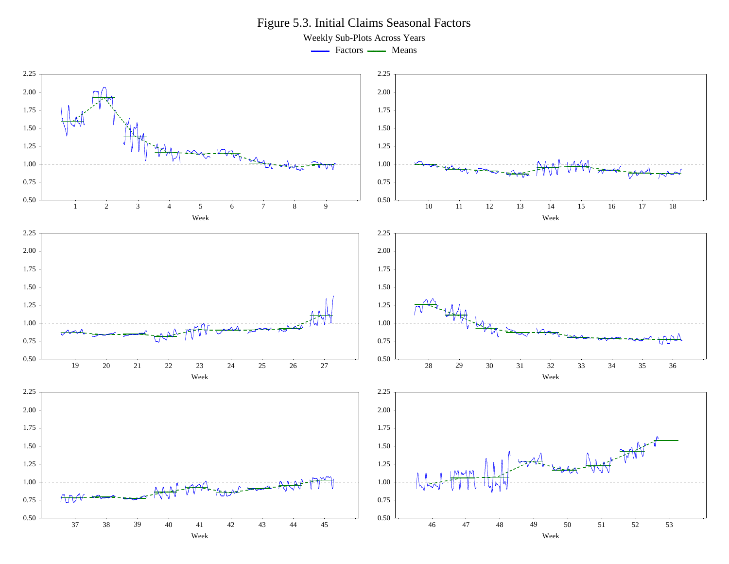Figure 5.3. Initial Claims Seasonal Factors

Weekly Sub-Plots Across Years

- Factors - Means

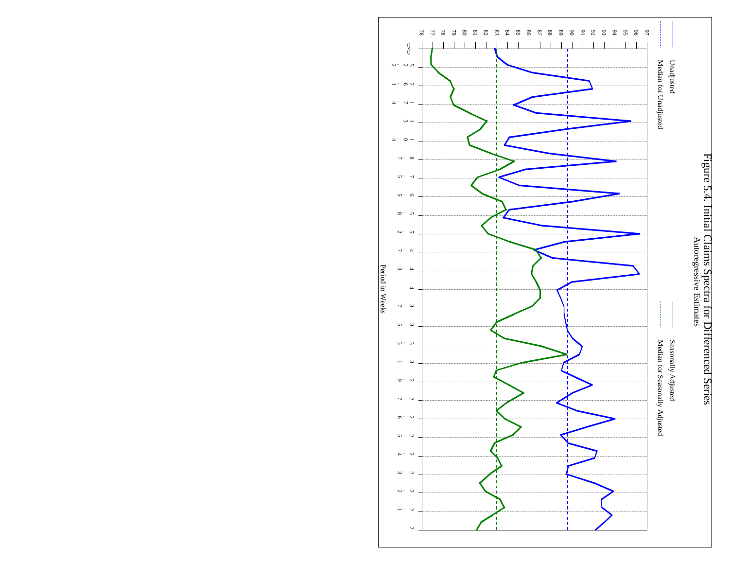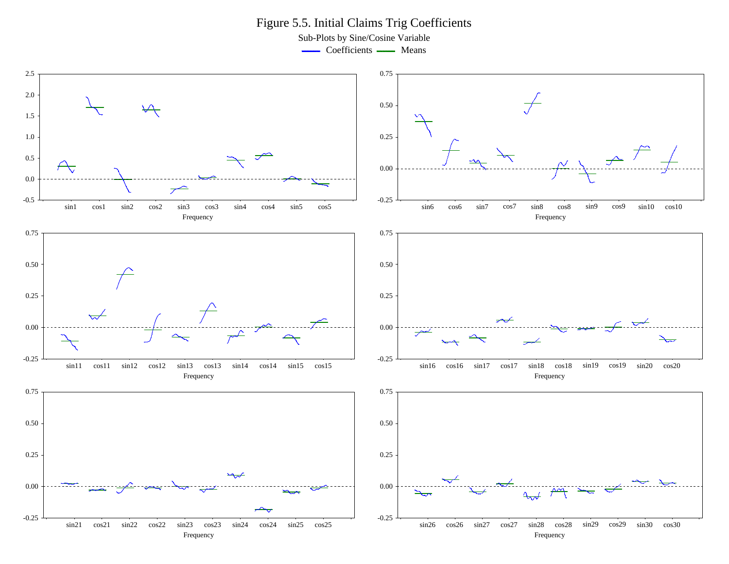Figure 5.5. Initial Claims Trig Coefficients

Sub-Plots by Sine/Cosine Variable

- Coefficients - Means

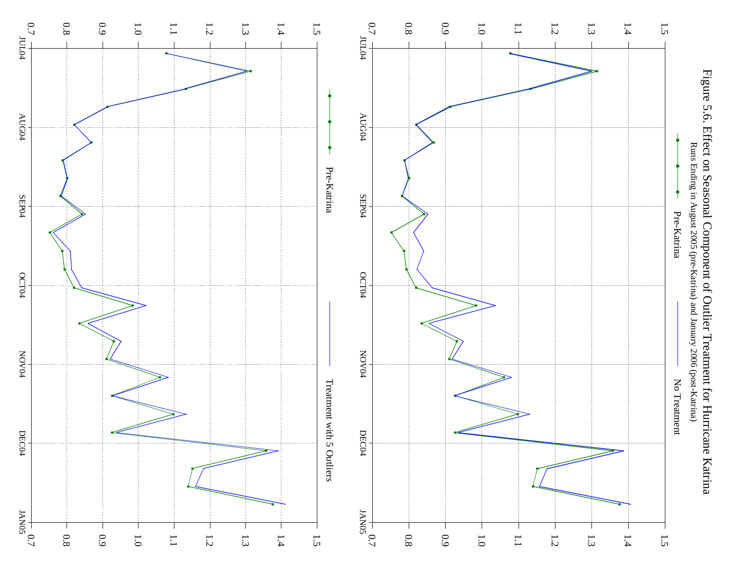